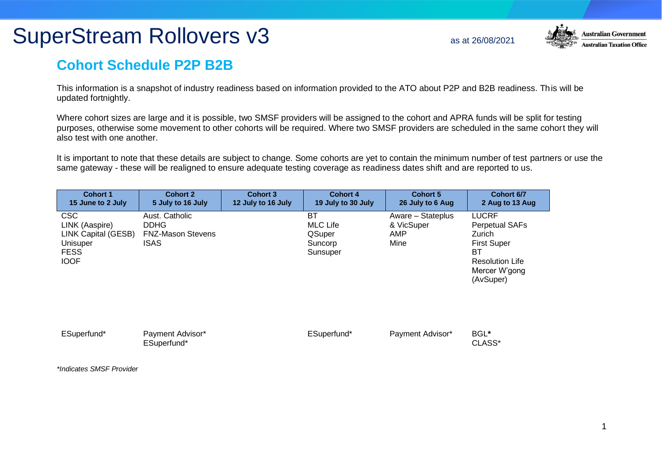## SuperStream Rollovers v3 as at 26/08/2021



## **Cohort Schedule P2P B2B**

This information is a snapshot of industry readiness based on information provided to the ATO about P2P and B2B readiness. This will be updated fortnightly.

Where cohort sizes are large and it is possible, two SMSF providers will be assigned to the cohort and APRA funds will be split for testing purposes, otherwise some movement to other cohorts will be required. Where two SMSF providers are scheduled in the same cohort they will also test with one another.

It is important to note that these details are subject to change. Some cohorts are yet to contain the minimum number of test partners or use the same gateway - these will be realigned to ensure adequate testing coverage as readiness dates shift and are reported to us.

| <b>Cohort 1</b>                                                                               | <b>Cohort 2</b>                                                   | <b>Cohort 3</b>    | Cohort 4                                               | <b>Cohort 5</b>                                | Cohort 6/7                                                                                                                          |
|-----------------------------------------------------------------------------------------------|-------------------------------------------------------------------|--------------------|--------------------------------------------------------|------------------------------------------------|-------------------------------------------------------------------------------------------------------------------------------------|
| 15 June to 2 July                                                                             | 5 July to 16 July                                                 | 12 July to 16 July | 19 July to 30 July                                     | 26 July to 6 Aug                               | 2 Aug to 13 Aug                                                                                                                     |
| CSC<br>LINK (Aaspire)<br>LINK Capital (GESB)<br><b>Unisuper</b><br><b>FESS</b><br><b>IOOF</b> | Aust. Catholic<br><b>DDHG</b><br><b>FNZ-Mason Stevens</b><br>ISAS |                    | ВT<br>MLC Life<br><b>QSuper</b><br>Suncorp<br>Sunsuper | Aware - Stateplus<br>& VicSuper<br>AMP<br>Mine | <b>LUCRF</b><br><b>Perpetual SAFs</b><br>Zurich<br><b>First Super</b><br>BТ<br><b>Resolution Life</b><br>Mercer W'gong<br>(AvSuper) |

| ESuperfund* | Payment Advisor*<br>ESuperfund* | ESuperfund* | Payment Advisor* | BGL*<br>CLASS* |
|-------------|---------------------------------|-------------|------------------|----------------|
|-------------|---------------------------------|-------------|------------------|----------------|

*\*Indicates SMSF Provider*